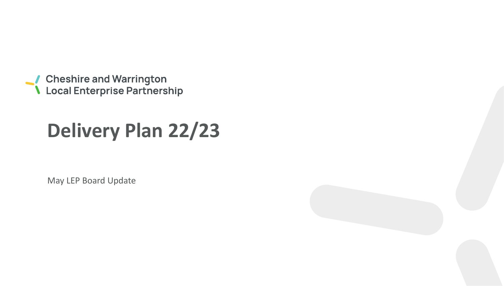● Cheshire and Warrington<br>● Local Enterprise Partnership

# **Delivery Plan 22/23**

May LEP Board Update

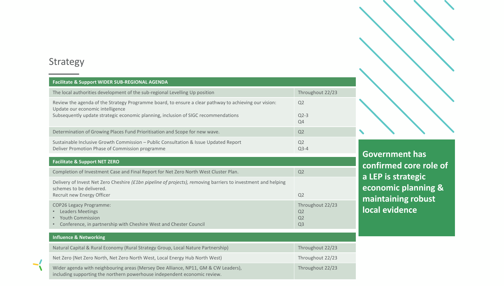## Strategy

 $\blacktriangleright$ 

| <b>Facilitate &amp; Support WIDER SUB-REGIONAL AGENDA</b>                                                                                                                           |                                                            |
|-------------------------------------------------------------------------------------------------------------------------------------------------------------------------------------|------------------------------------------------------------|
| The local authorities development of the sub-regional Levelling Up position                                                                                                         | Throughout 22/23                                           |
| Review the agenda of the Strategy Programme board, to ensure a clear pathway to achieving our vision:<br>Update our economic intelligence                                           | Q2                                                         |
| Subsequently update strategic economic planning, inclusion of SIGC recommendations                                                                                                  | $Q2-3$<br>Q4                                               |
| Determination of Growing Places Fund Prioritisation and Scope for new wave.                                                                                                         | Q2                                                         |
| Sustainable Inclusive Growth Commission - Public Consultation & Issue Updated Report<br>Deliver Promotion Phase of Commission programme                                             | Q <sub>2</sub><br>$Q3-4$                                   |
| <b>Facilitate &amp; Support NET ZERO</b>                                                                                                                                            |                                                            |
| Completion of Investment Case and Final Report for Net Zero North West Cluster Plan.                                                                                                | Q2                                                         |
| Delivery of Invest Net Zero Cheshire (£1bn pipeline of projects), removing barriers to investment and helping<br>schemes to be delivered.                                           |                                                            |
| Recruit new Energy Officer                                                                                                                                                          | Q2                                                         |
| <b>COP26 Legacy Programme:</b><br><b>Leaders Meetings</b><br><b>Youth Commission</b><br>$\bullet$<br>Conference, in partnership with Cheshire West and Chester Council<br>$\bullet$ | Throughout 22/23<br>Q <sub>2</sub><br>Q2<br>Q <sub>3</sub> |
| <b>Influence &amp; Networking</b>                                                                                                                                                   |                                                            |
| Natural Capital & Rural Economy (Rural Strategy Group, Local Nature Partnership)                                                                                                    | Throughout 22/23                                           |
| Net Zero (Net Zero North, Net Zero North West, Local Energy Hub North West)                                                                                                         | Throughout 22/23                                           |
| Wider agenda with neighbouring areas (Mersey Dee Alliance, NP11, GM & CW Leaders),<br>including supporting the northern powerhouse independent economic review.                     | Throughout 22/23                                           |

**Government has confirmed core role of a LEP is strategic economic planning & maintaining robust local evidence**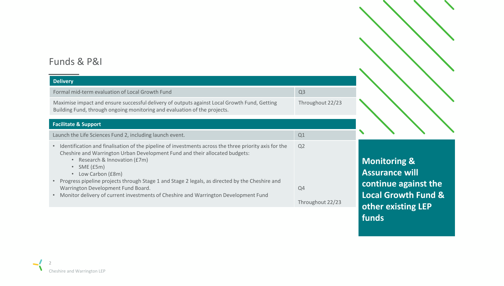## Funds & P&I

## **Delivery** Formal mid-term evaluation of Local Growth Fund Q3 Maximise impact and ensure successful delivery of outputs against Local Growth Fund, Getting Building Fund, through ongoing monitoring and evaluation of the projects. Throughout 22/23 **Facilitate & Support** Launch the Life Sciences Fund 2, including launch event. • Identification and finalisation of the pipeline of investments across the three priority axis for the Cheshire and Warrington Urban Development Fund and their allocated budgets: • Research & Innovation (£7m) • SME (£5m) • Low Carbon (£8m) • Progress pipeline projects through Stage 1 and Stage 2 legals, as directed by the Cheshire and Warrington Development Fund Board. • Monitor delivery of current investments of Cheshire and Warrington Development Fund Q2 Q4 Throughout 22/23

**Monitoring & Assurance will continue against the Local Growth Fund & other existing LEP funds**

 $\blacklozenge$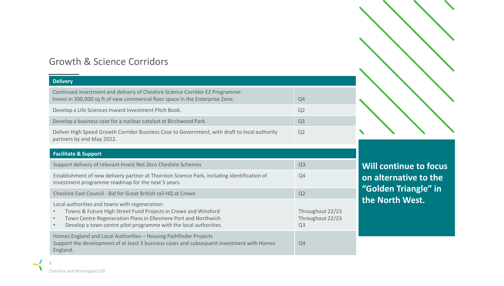## Growth & Science Corridors

| <b>Delivery</b>                                                                                                                                                                                                                                                                   |                                                        |
|-----------------------------------------------------------------------------------------------------------------------------------------------------------------------------------------------------------------------------------------------------------------------------------|--------------------------------------------------------|
| Continued investment and delivery of Cheshire Science Corridor EZ Programme:<br>Invest in 300,000 sq ft of new commercial floor space in the Enterprise Zone.                                                                                                                     | Q <sub>4</sub>                                         |
| Develop a Life Sciences Inward Investment Pitch Book.                                                                                                                                                                                                                             | Q <sub>2</sub>                                         |
| Develop a business case for a nuclear catalyst at Birchwood Park.                                                                                                                                                                                                                 | Q <sub>3</sub>                                         |
| Deliver High Speed Growth Corridor Business Case to Government, with draft to local authority<br>partners by end May 2022.                                                                                                                                                        | Q <sub>2</sub>                                         |
| <b>Facilitate &amp; Support</b>                                                                                                                                                                                                                                                   |                                                        |
| Support delivery of relevant Invest Net Zero Cheshire Schemes                                                                                                                                                                                                                     | Q <sub>3</sub>                                         |
| Establishment of new delivery partner at Thornton Science Park, including identification of<br>investment programme roadmap for the next 5 years.                                                                                                                                 | Q <sub>4</sub>                                         |
| Cheshire East Council - Bid for Great British rail HQ at Crewe                                                                                                                                                                                                                    | Q <sub>2</sub>                                         |
| Local authorities and towns with regeneration:<br>Towns & Future High Street Fund Projects in Crewe and Winsford<br>Town Centre Regeneration Plans in Ellesmere Port and Northwich<br>$\bullet$<br>Develop a town centre pilot programme with the local authorities.<br>$\bullet$ | Throughout 22/23<br>Throughout 22/23<br>Q <sub>3</sub> |
| Homes England and Local Authorities - Housing Pathfinder Projects<br>Support the development of at least 3 business cases and subsequent investment with Homes<br>England.                                                                                                        | Q <sub>4</sub>                                         |

**Will continue to focus on alternative to the "Golden Triangle" in the North West.**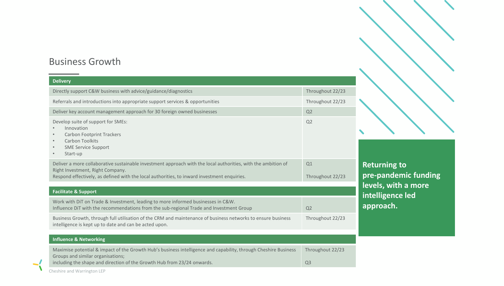## Business Growth

| <b>Delivery</b>                                                                                                                                                                                                                                  |                                    |
|--------------------------------------------------------------------------------------------------------------------------------------------------------------------------------------------------------------------------------------------------|------------------------------------|
| Directly support C&W business with advice/guidance/diagnostics                                                                                                                                                                                   | Throughout 22/23                   |
| Referrals and introductions into appropriate support services & opportunities                                                                                                                                                                    | Throughout 22/23                   |
| Deliver key account management approach for 30 foreign owned businesses                                                                                                                                                                          | Q2                                 |
| Develop suite of support for SMEs:<br>Innovation<br><b>Carbon Footprint Trackers</b><br>$\bullet$<br>Carbon Toolkits<br>$\bullet$<br><b>SME Service Support</b><br>$\bullet$<br>Start-up<br>$\bullet$                                            | Q2                                 |
| Deliver a more collaborative sustainable investment approach with the local authorities, with the ambition of<br>Right Investment, Right Company.<br>Respond effectively, as defined with the local authorities, to inward investment enquiries. | Q1<br>Throughout 22/23             |
| <b>Facilitate &amp; Support</b>                                                                                                                                                                                                                  |                                    |
| Work with DiT on Trade & Investment, leading to more informed businesses in C&W.<br>Influence DiT with the recommendations from the sub-regional Trade and Investment Group                                                                      | Q2                                 |
| Business Growth, through full utilisation of the CRM and maintenance of business networks to ensure business<br>intelligence is kept up to date and can be acted upon.                                                                           | Throughout 22/23                   |
| <b>Influence &amp; Networking</b>                                                                                                                                                                                                                |                                    |
| Maximise potential & impact of the Growth Hub's business intelligence and capability, through Cheshire Business<br>Groups and similar organisations;<br>including the shape and direction of the Growth Hub from 23/24 onwards.                  | Throughout 22/23<br>Q <sub>3</sub> |

 $R$  to  $\overline{R}$ **emic funding levels, with a more i**ce led

 $\mathcal{L}$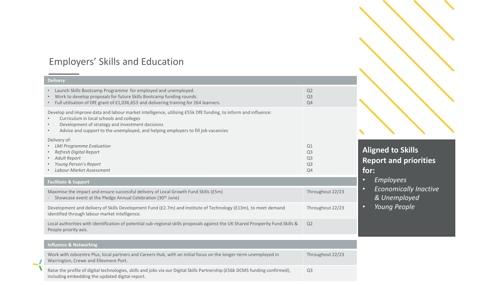## Employers' Skills and Education

People priority axis.

#### **Facilitate & Support** Maximise the impact and ensure successful delivery of Local Growth Fund Skills (£5m) Showcase event at the Pledge Annual Celebration (30<sup>th</sup> June) Throughout 22/23 Development and delivery of Skills Development Fund (£2.7m) and Institute of Technology (£13m), to meet demand identified through labour market intelligence. Throughout 22/23 Local authorities with identification of potential sub-regional skills proposals against the UK Shared Prosperity Fund Skills & Q2 **Delivery** • Launch Skills Bootcamp Programme for employed and unemployed. • Work to develop proposals for future Skills Bootcamp funding rounds. • Full utilisation of DfE grant of £1,036,653 and delivering training for 264 learners. Q2 Q3 Q4 Develop and improve data and labour market intelligence, utilising £55k DfE funding, to inform and influence: • Curriculum in local schools and colleges • Development of strategy and investment decisions • Advice and support to the unemployed, and helping employers to fill job vacancies Delivery of: • *LMI Programme Evaluation*  • *Refresh Digital Report* • *Adult Report* • *Young Person's Report* • *Labour Market Assessment* Q1 Q3 Q3 Q3 Q4

## **Aligned to Skills Report and priorities for:**

- *Employees*
- *Economically Inactive & Unemployed*
- *Young People*

Raise the profile of digital technologies, skills and jobs via our Digital Skills Partnership (£56k DCMS funding confirmed), 5 Warrington, Crewe and Ellesmere Port. **Influence & Networking** Work with Jobcentre Plus, local partners and Careers Hub, with an initial focus on the longer-term unemployed in Throughout 22/23 including embedding the updated digital report. Q3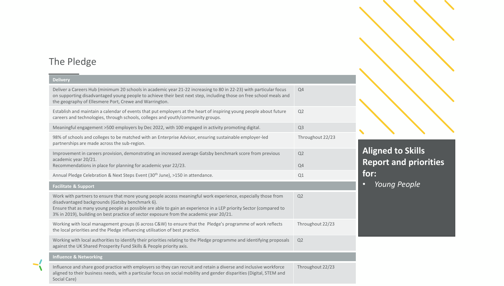# The Pledge

| <b>Delivery</b>                                                                                                                                                                                                                                                                                                                                                                 |                  |
|---------------------------------------------------------------------------------------------------------------------------------------------------------------------------------------------------------------------------------------------------------------------------------------------------------------------------------------------------------------------------------|------------------|
| Deliver a Careers Hub (minimum 20 schools in academic year 21-22 increasing to 80 in 22-23) with particular focus<br>on supporting disadvantaged young people to achieve their best next step, including those on free school meals and<br>the geography of Ellesmere Port, Crewe and Warrington.                                                                               | Q4               |
| Establish and maintain a calendar of events that put employers at the heart of inspiring young people about future<br>careers and technologies, through schools, colleges and youth/community groups.                                                                                                                                                                           | Q2               |
| Meaningful engagement >500 employers by Dec 2022, with 100 engaged in activity promoting digital.                                                                                                                                                                                                                                                                               | Q <sub>3</sub>   |
| 98% of schools and colleges to be matched with an Enterprise Advisor, ensuring sustainable employer-led<br>partnerships are made across the sub-region.                                                                                                                                                                                                                         | Throughout 22/23 |
| Improvement in careers provision, demonstrating an increased average Gatsby benchmark score from previous<br>academic year 20/21.<br>Recommendations in place for planning for academic year 22/23.                                                                                                                                                                             | Q2<br>Q4         |
| Annual Pledge Celebration & Next Steps Event (30 <sup>th</sup> June), >150 in attendance.                                                                                                                                                                                                                                                                                       | Q1               |
| <b>Facilitate &amp; Support</b>                                                                                                                                                                                                                                                                                                                                                 |                  |
| Work with partners to ensure that more young people access meaningful work experience, especially those from<br>disadvantaged backgrounds (Gatsby benchmark 6).<br>Ensure that as many young people as possible are able to gain an experience in a LEP priority Sector (compared to<br>3% in 2019), building on best practice of sector exposure from the academic year 20/21. | Q <sub>2</sub>   |
| Working with local management groups (6 across C&W) to ensure that the Pledge's programme of work reflects<br>the local priorities and the Pledge influencing utilisation of best practice.                                                                                                                                                                                     | Throughout 22/23 |
| Working with local authorities to identify their priorities relating to the Pledge programme and identifying proposals<br>against the UK Shared Prosperity Fund Skills & People priority axis.                                                                                                                                                                                  | Q2               |
| <b>Influence &amp; Networking</b>                                                                                                                                                                                                                                                                                                                                               |                  |
| Influence and share good practice with employers so they can recruit and retain a diverse and inclusive workforce<br>aligned to their business needs, with a particular focus on social mobility and gender disparities (Digital, STEM and                                                                                                                                      | Throughout 22/23 |

## **Aligned to Skills Report and priorities for:**

• *Young People*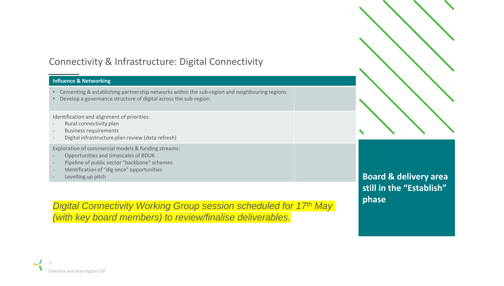# Connectivity & Infrastructure: Digital Connectivity

## **Influence & Networking**

- Cementing & establishing partnership networks within the sub-region and neighbouring regions.
- Develop a governance structure of digital across the sub-region.

Identification and alignment of priorities:

- Rural connectivity plan
- Business requirements
- Digital infrastructure plan review (data refresh)

Exploration of commercial models & funding streams:

- Opportunities and timescales of BDUK
- Pipeline of public sector "backbone" schemes
- Identification of "dig once" opportunities
- Levelling up pitch

*Digital Connectivity Working Group session scheduled for 17th May (with key board members) to review/finalise deliverables.*

**Board & delivery area still in the "Establish" phase**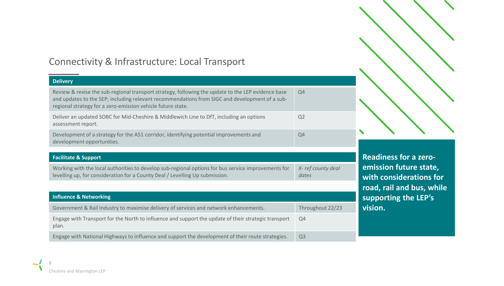## Connectivity & Infrastructure: Local Transport

| <b>Delivery</b>                                                                                                                                                                                                                                                     |                            |
|---------------------------------------------------------------------------------------------------------------------------------------------------------------------------------------------------------------------------------------------------------------------|----------------------------|
| Review & revise the sub-regional transport strategy, following the update to the LEP evidence base<br>and updates to the SEP; including relevant recommendations from SIGC and development of a sub-<br>regional strategy for a zero-emission vehicle future state. | Q4                         |
| Deliver an updated SOBC for Mid-Cheshire & Middlewich Line to DfT, including an options<br>assessment report.                                                                                                                                                       | Q <sub>2</sub>             |
| Development of a strategy for the A51 corridor, identifying potential improvements and<br>development opportunities.                                                                                                                                                | Q4                         |
|                                                                                                                                                                                                                                                                     |                            |
| <b>Facilitate &amp; Support</b>                                                                                                                                                                                                                                     |                            |
| Working with the local authorities to develop sub-regional options for bus service improvements for<br>levelling up, for consideration for a County Deal / Levelling Up submission.                                                                                 | X-ref county deal<br>dates |
|                                                                                                                                                                                                                                                                     |                            |
| <b>Influence &amp; Networking</b>                                                                                                                                                                                                                                   |                            |

| Government & Rail Industry to maximise delivery of services and network enhancements.                         | Throughout 22/23 |
|---------------------------------------------------------------------------------------------------------------|------------------|
| Engage with Transport for the North to influence and support the update of their strategic transport<br>plan. | O4               |
| Engage with National Highways to influence and support the development of their route strategies.             | Q <sub>3</sub>   |

**Readiness for a zeroemission future state, with considerations for road, rail and bus, while supporting the LEP's vision.**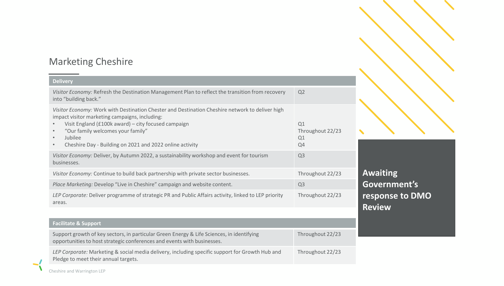# Marketing Cheshire

| <b>Delivery</b>                                                                                                                                                                                                                                                                                                                                |                                    |
|------------------------------------------------------------------------------------------------------------------------------------------------------------------------------------------------------------------------------------------------------------------------------------------------------------------------------------------------|------------------------------------|
| Visitor Economy: Refresh the Destination Management Plan to reflect the transition from recovery<br>into "building back."                                                                                                                                                                                                                      | Q <sub>2</sub>                     |
| Visitor Economy: Work with Destination Chester and Destination Cheshire network to deliver high<br>impact visitor marketing campaigns, including:<br>Visit England (£100k award) - city focused campaign<br>"Our family welcomes your family"<br>Jubilee<br>$\bullet$<br>Cheshire Day - Building on 2021 and 2022 online activity<br>$\bullet$ | Q1<br>Throughout 22/23<br>Q1<br>Q4 |
| Visitor Economy: Deliver, by Autumn 2022, a sustainability workshop and event for tourism<br>businesses.                                                                                                                                                                                                                                       | Q <sub>3</sub>                     |
| Visitor Economy: Continue to build back partnership with private sector businesses.                                                                                                                                                                                                                                                            | Throughout 22/23                   |
| Place Marketing: Develop "Live in Cheshire" campaign and website content.                                                                                                                                                                                                                                                                      | Q <sub>3</sub>                     |
| LEP Corporate: Deliver programme of strategic PR and Public Affairs activity, linked to LEP priority<br>areas.                                                                                                                                                                                                                                 | Throughout 22/23                   |
|                                                                                                                                                                                                                                                                                                                                                |                                    |
| <b>Facilitate &amp; Support</b>                                                                                                                                                                                                                                                                                                                |                                    |
| Support growth of key sectors, in particular Green Energy & Life Sciences, in identifying<br>opportunities to host strategic conferences and events with businesses.                                                                                                                                                                           | Throughout 22/23                   |
| LEP Corporate: Marketing & social media delivery, including specific support for Growth Hub and<br>Pledge to meet their annual targets.                                                                                                                                                                                                        | Throughout 22/23                   |

**Awaiting Government's response to DMO Review**

 $\blacktriangle$